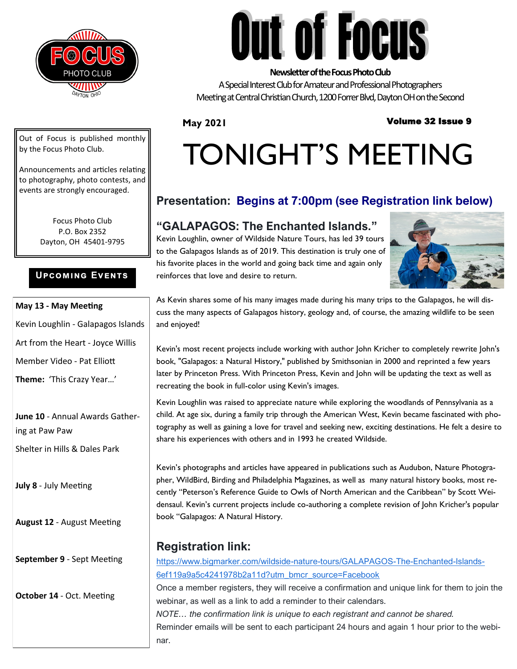

**Out of Focus** 

### **Newsletter of the Focus Photo Club**

A Special Interest Club for Amateur and Professional Photographers Meeting at Central Christian Church, 1200 Forrer Blvd, Dayton OH on the Second

### **May 2021**

### Volume 32 Issue 9

Out of Focus is published monthly by the Focus Photo Club.

Announcements and articles relating to photography, photo contests, and events are strongly encouraged.

> Focus Photo Club P.O. Box 2352 Dayton, OH 45401-9795

### **Upcoming Events**

### **May 13 - May Meeting**

Kevin Loughlin - Galapagos Islands

Art from the Heart - Joyce Willis

Member Video - Pat Elliott

**Theme:** 'This Crazy Year…'

**June 10** - Annual Awards Gathering at Paw Paw

Shelter in Hills & Dales Park

**July 8** - July Meeting

**August 12** - August Meeting

**September 9** - Sept Meeting

**October 14** - Oct. Meeting

# TONIGHT'S MEETING

### **Presentation: Begins at 7:00pm (see Registration link below)**

### **"GALAPAGOS: The Enchanted Islands."**

Kevin Loughlin, owner of Wildside Nature Tours, has led 39 tours to the Galapagos Islands as of 2019. This destination is truly one of his favorite places in the world and going back time and again only reinforces that love and desire to return.



As Kevin shares some of his many images made during his many trips to the Galapagos, he will discuss the many aspects of Galapagos history, geology and, of course, the amazing wildlife to be seen and enjoyed!

Kevin's most recent projects include working with author John Kricher to completely rewrite John's book, "Galapagos: a Natural History," published by Smithsonian in 2000 and reprinted a few years later by Princeton Press. With Princeton Press, Kevin and John will be updating the text as well as recreating the book in full-color using Kevin's images.

Kevin Loughlin was raised to appreciate nature while exploring the woodlands of Pennsylvania as a child. At age six, during a family trip through the American West, Kevin became fascinated with photography as well as gaining a love for travel and seeking new, exciting destinations. He felt a desire to share his experiences with others and in 1993 he created Wildside.

Kevin's photographs and articles have appeared in publications such as Audubon, Nature Photographer, WildBird, Birding and Philadelphia Magazines, as well as many natural history books, most recently "Peterson's Reference Guide to Owls of North American and the Caribbean" by Scott Weidensaul. Kevin's current projects include co-authoring a complete revision of John Kricher's popular book "Galapagos: A Natural History.

### **Registration link:**

[https://www.bigmarker.com/wildside](https://www.bigmarker.com/wildside-nature-tours/GALAPAGOS-The-Enchanted-Islands-6ef119a9a5c4241978b2a11d?utm_bmcr_source=Facebook)-nature-tours/GALAPAGOS-The-Enchanted-Islands-[6ef119a9a5c4241978b2a11d?utm\\_bmcr\\_source=Facebook](https://www.bigmarker.com/wildside-nature-tours/GALAPAGOS-The-Enchanted-Islands-6ef119a9a5c4241978b2a11d?utm_bmcr_source=Facebook)

Once a member registers, they will receive a confirmation and unique link for them to join the webinar, as well as a link to add a reminder to their calendars.

*NOTE… the confirmation link is unique to each registrant and cannot be shared.* Reminder emails will be sent to each participant 24 hours and again 1 hour prior to the webinar.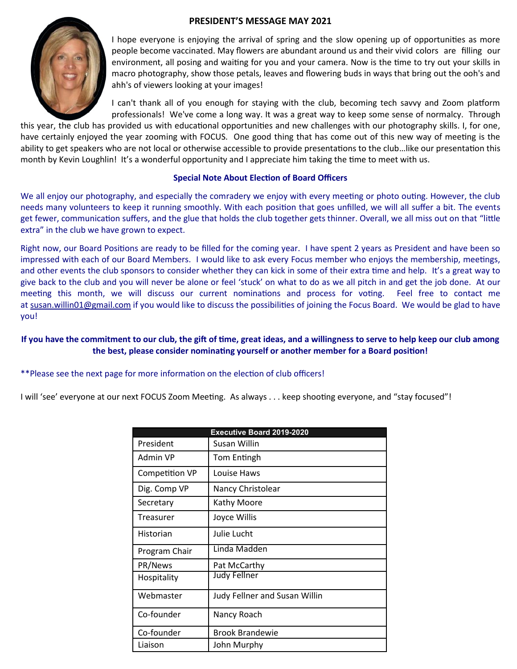### **PRESIDENT'S MESSAGE MAY 2021**



I hope everyone is enjoying the arrival of spring and the slow opening up of opportunities as more people become vaccinated. May flowers are abundant around us and their vivid colors are filling our environment, all posing and waiting for you and your camera. Now is the time to try out your skills in macro photography, show those petals, leaves and flowering buds in ways that bring out the ooh's and ahh's of viewers looking at your images!

I can't thank all of you enough for staying with the club, becoming tech savvy and Zoom platform professionals! We've come a long way. It was a great way to keep some sense of normalcy. Through

this year, the club has provided us with educational opportunities and new challenges with our photography skills. I, for one, have certainly enjoyed the year zooming with FOCUS. One good thing that has come out of this new way of meeting is the ability to get speakers who are not local or otherwise accessible to provide presentations to the club…like our presentation this month by Kevin Loughlin! It's a wonderful opportunity and I appreciate him taking the time to meet with us.

### **Special Note About Election of Board Officers**

We all enjoy our photography, and especially the comradery we enjoy with every meeting or photo outing. However, the club needs many volunteers to keep it running smoothly. With each position that goes unfilled, we will all suffer a bit. The events get fewer, communication suffers, and the glue that holds the club together gets thinner. Overall, we all miss out on that "little extra" in the club we have grown to expect.

Right now, our Board Positions are ready to be filled for the coming year. I have spent 2 years as President and have been so impressed with each of our Board Members. I would like to ask every Focus member who enjoys the membership, meetings, and other events the club sponsors to consider whether they can kick in some of their extra time and help. It's a great way to give back to the club and you will never be alone or feel 'stuck' on what to do as we all pitch in and get the job done. At our meeting this month, we will discuss our current nominations and process for voting. Feel free to contact me at susan.willin01@gmail.com if you would like to discuss the possibilities of joining the Focus Board. We would be glad to have you!

### **If you have the commitment to our club, the gift of time, great ideas, and a willingness to serve to help keep our club among the best, please consider nominating yourself or another member for a Board position!**

### \*\*Please see the next page for more information on the election of club officers!

I will 'see' everyone at our next FOCUS Zoom Meeting. As always . . . keep shooting everyone, and "stay focused"!

| <b>Executive Board 2019-2020</b> |                               |  |  |  |
|----------------------------------|-------------------------------|--|--|--|
| President                        | Susan Willin                  |  |  |  |
| Admin VP                         | Tom Entingh                   |  |  |  |
| Competition VP                   | Louise Haws                   |  |  |  |
| Dig. Comp VP                     | Nancy Christolear             |  |  |  |
| Secretary                        | Kathy Moore                   |  |  |  |
| Treasurer                        | Joyce Willis                  |  |  |  |
| Historian                        | Julie Lucht                   |  |  |  |
| Program Chair                    | Linda Madden                  |  |  |  |
| PR/News                          | Pat McCarthy                  |  |  |  |
| Hospitality                      | <b>Judy Fellner</b>           |  |  |  |
| Webmaster                        | Judy Fellner and Susan Willin |  |  |  |
| Co-founder                       | Nancy Roach                   |  |  |  |
| Co-founder                       | <b>Brook Brandewie</b>        |  |  |  |
| Liaison                          | John Murphy                   |  |  |  |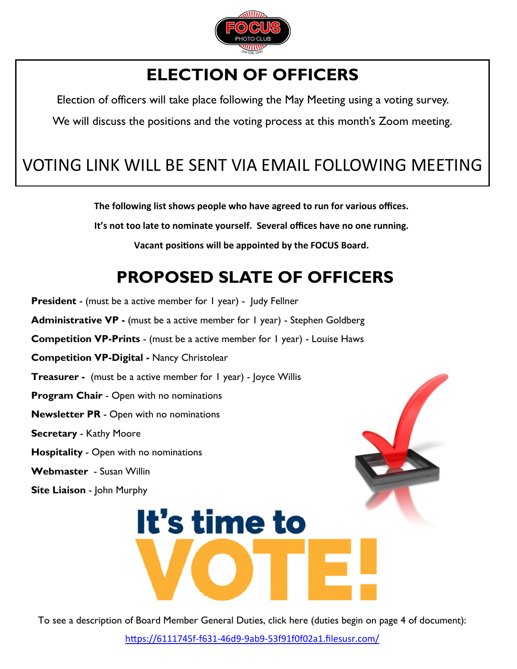

### **ELECTION OF OFFICERS**

<span id="page-2-0"></span>Election of officers will take place following the May Meeting using a voting survey.

We will discuss the positions and the voting process at this month's Zoom meeting.

### VOTING LINK WILL BE SENT VIA EMAIL FOLLOWING MEETING

**The following list shows people who have agreed to run for various offices.** 

**It's not too late to nominate yourself. Several offices have no one running.** 

**Vacant positions will be appointed by the FOCUS Board.**

## **PROPOSED SLATE OF OFFICERS**

**President** - (must be a active member for 1 year) - Judy Fellner

**Administrative VP -** (must be a active member for 1 year) - Stephen Goldberg

**Competition VP-Prints** - (must be a active member for 1 year) - Louise Haws

**Competition VP-Digital -** Nancy Christolear

**Treasurer -** (must be a active member for 1 year) - loyce Willis

**Program Chair** - Open with no nominations

**Newsletter PR** - Open with no nominations

**Secretary** - Kathy Moore

- **Hospitality**  Open with no nominations
- **Webmaster** Susan Willin
- **Site Liaison**  John Murphy



To see a description of Board Member General Duties, click here (duties begin on page 4 of document):

https://6111745f-f631-46d9-9ab9-[53f91f0f02a1.filesusr.com/](#page-2-0)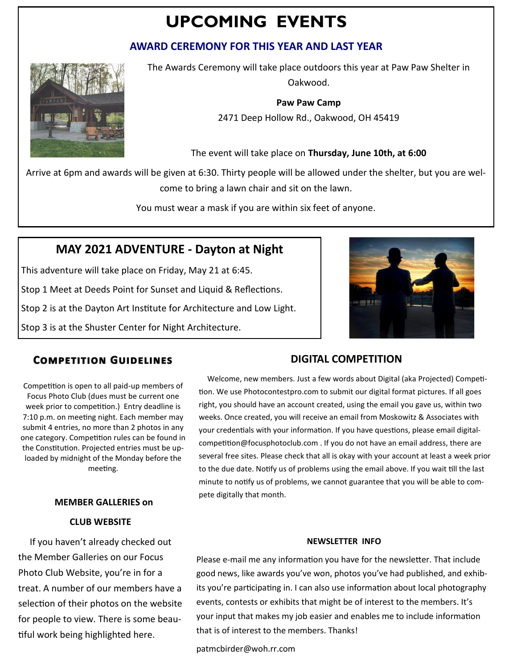### **UPCOMING EVENTS**

### **AWARD CEREMONY FOR THIS YEAR AND LAST YEAR**



The Awards Ceremony will take place outdoors this year at Paw Paw Shelter in Oakwood.

**Paw Paw Camp**

[2471 Deep Hollow Rd., Oakwood,](https://www.google.com/maps/place/2471+Deep+Hollow+Rd,+Kettering,+OH+45419/@39.7096244,-84.1802486,17z/data=!4m7!1m4!3m3!1s0x884085d33992f1b9:0xda4919d49fc3643f!2s2471+Deep+Hollow+Rd,+Kettering,+OH+45419!3b1!3m1!1s0x884085d33992f1b9:0xda4919d49fc3643f) OH 45419

The event will take place on **Thursday, June 10th, at 6:00** 

Arrive at 6pm and awards will be given at 6:30. Thirty people will be allowed under the shelter, but you are welcome to bring a lawn chair and sit on the lawn.

You must wear a mask if you are within six feet of anyone.

### **MAY 2021 ADVENTURE - Dayton at Night**

This adventure will take place on Friday, May 21 at 6:45.

Stop 1 Meet at Deeds Point for Sunset and Liquid & Reflections.

Stop 2 is at the Dayton Art Institute for Architecture and Low Light.

Stop 3 is at the Shuster Center for Night Architecture.

### **COMPETITION GUIDELINES**

Competition is open to all paid-up members of Focus Photo Club (dues must be current one week prior to competition.) Entry deadline is 7:10 p.m. on meeting night. Each member may submit 4 entries, no more than 2 photos in any one category. Competition rules can be found in the Constitution. Projected entries must be uploaded by midnight of the Monday before the meeting.

### **MEMBER GALLERIES on**

### **CLUB WEBSITE**

 If you haven't already checked out the Member Galleries on our Focus Photo Club Website, you're in for a treat. A number of our members have a selection of their photos on the website for people to view. There is some beautiful work being highlighted here.

### **DIGITAL COMPETITION**

 Welcome, new members. Just a few words about Digital (aka Projected) Competition. We use Photocontestpro.com to submit our digital format pictures. If all goes right, you should have an account created, using the email you gave us, within two weeks. Once created, you will receive an email from Moskowitz & Associates with your credentials with your information. If you have questions, please email digitalcompetition@focusphotoclub.com . If you do not have an email address, there are several free sites. Please check that all is okay with your account at least a week prior to the due date. Notify us of problems using the email above. If you wait till the last minute to notify us of problems, we cannot guarantee that you will be able to compete digitally that month.

### **NEWSLETTER INFO**

Please e-mail me any information you have for the newsletter. That include good news, like awards you've won, photos you've had published, and exhibits you're participating in. I can also use information about local photography events, contests or exhibits that might be of interest to the members. It's your input that makes my job easier and enables me to include information that is of interest to the members. Thanks!

patmcbirder@woh.rr.com